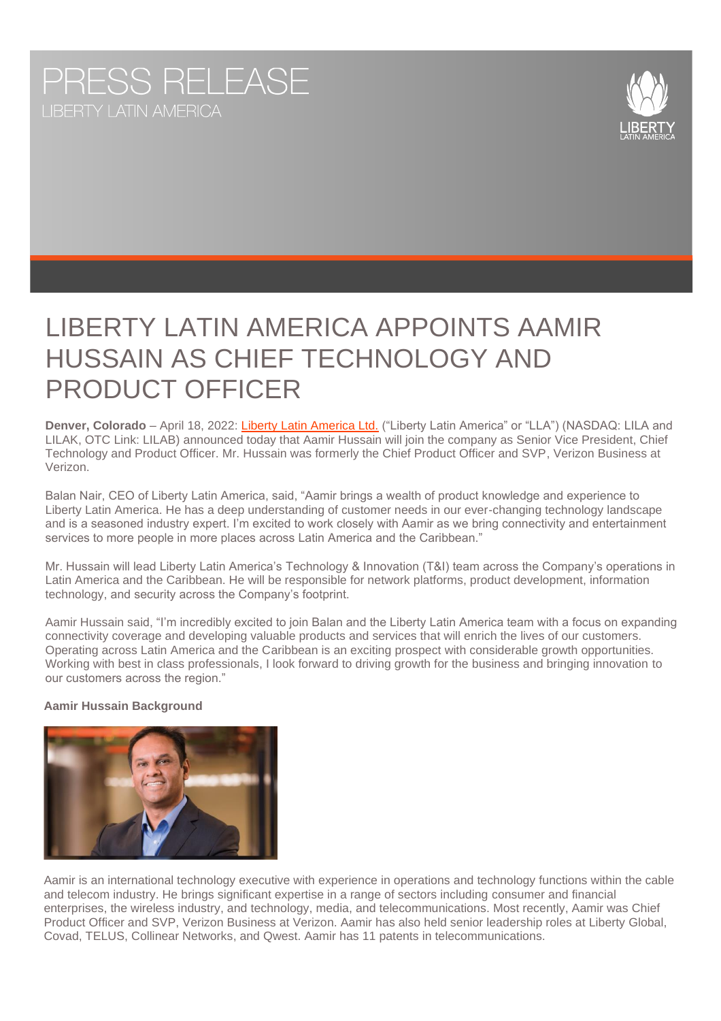# PRESS RELEASE



## PRODUCT OFFICER LIBERTY LATIN AMERICA APPOINTS AAMIR HUSSAIN AS CHIEF TECHNOLOGY AND

**Denver, Colorado** – April 18, 2022: [Liberty Latin America Ltd.](https://www.lla.com/) ("Liberty Latin America" or "LLA") (NASDAQ: LILA and LILAK, OTC Link: LILAB) announced today that Aamir Hussain will join the company as Senior Vice President, Chief Technology and Product Officer. Mr. Hussain was formerly the Chief Product Officer and SVP, Verizon Business at Verizon.

Balan Nair, CEO of Liberty Latin America, said, "Aamir brings a wealth of product knowledge and experience to Liberty Latin America. He has a deep understanding of customer needs in our ever-changing technology landscape and is a seasoned industry expert. I'm excited to work closely with Aamir as we bring connectivity and entertainment services to more people in more places across Latin America and the Caribbean."

Mr. Hussain will lead Liberty Latin America's Technology & Innovation (T&I) team across the Company's operations in Latin America and the Caribbean. He will be responsible for network platforms, product development, information technology, and security across the Company's footprint.

Aamir Hussain said, "I'm incredibly excited to join Balan and the Liberty Latin America team with a focus on expanding connectivity coverage and developing valuable products and services that will enrich the lives of our customers. Operating across Latin America and the Caribbean is an exciting prospect with considerable growth opportunities. Working with best in class professionals, I look forward to driving growth for the business and bringing innovation to our customers across the region."

### **Aamir Hussain Background**



Aamir is an international technology executive with experience in operations and technology functions within the cable and telecom industry. He brings significant expertise in a range of sectors including consumer and financial enterprises, the wireless industry, and technology, media, and telecommunications. Most recently, Aamir was Chief Product Officer and SVP, Verizon Business at Verizon. Aamir has also held senior leadership roles at Liberty Global, Covad, TELUS, Collinear Networks, and Qwest. Aamir has 11 patents in telecommunications.